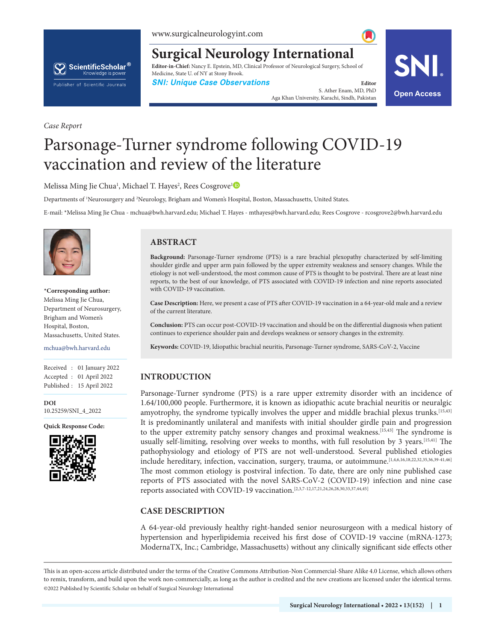# ScientificScholar® Knowledge is power Publisher of Scientific Journals

**Surgical Neurology International Editor-in-Chief:** Nancy E. Epstein, MD, Clinical Professor of Neurological Surgery, School of Medicine, State U. of NY at Stony Brook.

**SNI: Unique Case Observations Editor Editor** 

S. Ather Enam, MD, PhD Aga Khan University, Karachi, Sindh, Pakistan **Open Access**



# Parsonage-Turner syndrome following COVID-19 vaccination and review of the literature

Melissa Ming Jie Chua<sup>[1](https://orcid.org/0000-0002-6220-5752)</sup>, Michael T. Hayes<sup>2</sup>, Rees Cosgrove<sup>1</sup>

Departments of <sup>1</sup>Neurosurgery and <sup>2</sup>Neurology, Brigham and Women's Hospital, Boston, Massachusetts, United States.

E-mail: \*Melissa Ming Jie Chua - mchua@bwh.harvard.edu; Michael T. Hayes - mthayes@bwh.harvard.edu; Rees Cosgrove - rcosgrove2@bwh.harvard.edu



*Case Report*

**\*Corresponding author:**  Melissa Ming Jie Chua, Department of Neurosurgery, Brigham and Women's Hospital, Boston, Massachusetts, United States.

mchua@bwh.harvard.edu

Received : 01 January 2022 Accepted : 01 April 2022 Published : 15 April 2022

**DOI** 10.25259/SNI\_4\_2022

**Quick Response Code:**



# **ABSTRACT**

**Background:** Parsonage-Turner syndrome (PTS) is a rare brachial plexopathy characterized by self-limiting shoulder girdle and upper arm pain followed by the upper extremity weakness and sensory changes. While the etiology is not well-understood, the most common cause of PTS is thought to be postviral. There are at least nine reports, to the best of our knowledge, of PTS associated with COVID-19 infection and nine reports associated with COVID-19 vaccination.

**Case Description:** Here, we present a case of PTS after COVID-19 vaccination in a 64-year-old male and a review of the current literature.

**Conclusion:** PTS can occur post-COVID-19 vaccination and should be on the differential diagnosis when patient continues to experience shoulder pain and develops weakness or sensory changes in the extremity.

**Keywords:** COVID-19, Idiopathic brachial neuritis, Parsonage-Turner syndrome, SARS-CoV-2, Vaccine

#### **INTRODUCTION**

Parsonage-Turner syndrome (PTS) is a rare upper extremity disorder with an incidence of 1.64/100,000 people. Furthermore, it is known as idiopathic acute brachial neuritis or neuralgic amyotrophy, the syndrome typically involves the upper and middle brachial plexus trunks.[15,43] It is predominantly unilateral and manifests with initial shoulder girdle pain and progression to the upper extremity patchy sensory changes and proximal weakness.<sup>[15,43]</sup> The syndrome is usually self-limiting, resolving over weeks to months, with full resolution by 3 years.[15,41] The pathophysiology and etiology of PTS are not well-understood. Several published etiologies include hereditary, infection, vaccination, surgery, trauma, or autoimmune.[1,4,6,16,18,22,32,35,36,39-41,46] The most common etiology is postviral infection. To date, there are only nine published case reports of PTS associated with the novel SARS-CoV-2 (COVID-19) infection and nine case reports associated with COVID-19 vaccination.[2,3,7-12,17,21,24,26,28,30,33,37,44,45]

#### **CASE DESCRIPTION**

A 64-year-old previously healthy right-handed senior neurosurgeon with a medical history of hypertension and hyperlipidemia received his first dose of COVID-19 vaccine (mRNA-1273; ModernaTX, Inc.; Cambridge, Massachusetts) without any clinically significant side effects other

is is an open-access article distributed under the terms of the Creative Commons Attribution-Non Commercial-Share Alike 4.0 License, which allows others to remix, transform, and build upon the work non-commercially, as long as the author is credited and the new creations are licensed under the identical terms. ©2022 Published by Scientific Scholar on behalf of Surgical Neurology International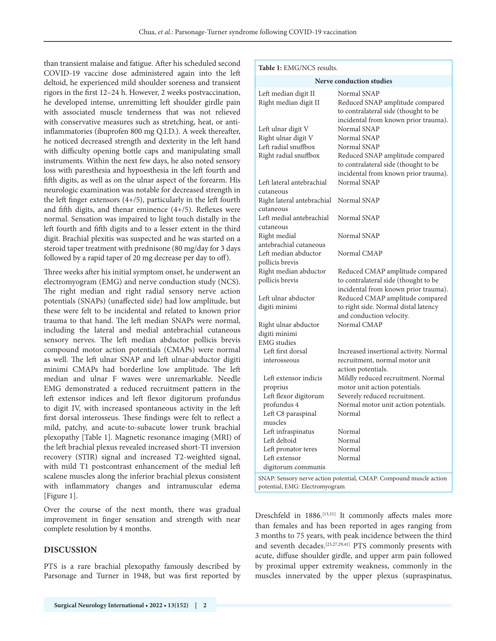than transient malaise and fatigue. After his scheduled second COVID-19 vaccine dose administered again into the left deltoid, he experienced mild shoulder soreness and transient rigors in the first 12–24 h. However, 2 weeks postvaccination, he developed intense, unremitting left shoulder girdle pain with associated muscle tenderness that was not relieved with conservative measures such as stretching, heat, or antiinflammatories (ibuprofen 800 mg Q.I.D.). A week thereafter, he noticed decreased strength and dexterity in the left hand with difficulty opening bottle caps and manipulating small instruments. Within the next few days, he also noted sensory loss with paresthesia and hypoesthesia in the left fourth and fifth digits, as well as on the ulnar aspect of the forearm. His neurologic examination was notable for decreased strength in the left finger extensors (4+/5), particularly in the left fourth and fifth digits, and thenar eminence (4+/5). Reflexes were normal. Sensation was impaired to light touch distally in the left fourth and fifth digits and to a lesser extent in the third digit. Brachial plexitis was suspected and he was started on a steroid taper treatment with prednisone (80 mg/day for 3 days followed by a rapid taper of 20 mg decrease per day to off).

Three weeks after his initial symptom onset, he underwent an electromyogram (EMG) and nerve conduction study (NCS). The right median and right radial sensory nerve action potentials (SNAPs) (unaffected side) had low amplitude, but these were felt to be incidental and related to known prior trauma to that hand. The left median SNAPs were normal, including the lateral and medial antebrachial cutaneous sensory nerves. The left median abductor pollicis brevis compound motor action potentials (CMAPs) were normal as well. The left ulnar SNAP and left ulnar-abductor digiti minimi CMAPs had borderline low amplitude. The left median and ulnar F waves were unremarkable. Needle EMG demonstrated a reduced recruitment pattern in the left extensor indices and left flexor digitorum profundus to digit IV, with increased spontaneous activity in the left first dorsal interosseus. These findings were felt to reflect a mild, patchy, and acute-to-subacute lower trunk brachial plexopathy [Table 1]. Magnetic resonance imaging (MRI) of the left brachial plexus revealed increased short-TI inversion recovery (STIR) signal and increased T2-weighted signal, with mild T1 postcontrast enhancement of the medial left scalene muscles along the inferior brachial plexus consistent with inflammatory changes and intramuscular edema [Figure 1].

Over the course of the next month, there was gradual improvement in finger sensation and strength with near complete resolution by 4 months.

## **DISCUSSION**

PTS is a rare brachial plexopathy famously described by Parsonage and Turner in 1948, but was first reported by

| Table 1: EMG/NCS results.                                                                            |                                                                                        |  |  |  |  |  |
|------------------------------------------------------------------------------------------------------|----------------------------------------------------------------------------------------|--|--|--|--|--|
| <b>Nerve conduction studies</b>                                                                      |                                                                                        |  |  |  |  |  |
| Left median digit II<br>Right median digit II                                                        | Normal SNAP<br>Reduced SNAP amplitude compared<br>to contralateral side (thought to be |  |  |  |  |  |
|                                                                                                      | incidental from known prior trauma).<br>Normal SNAP                                    |  |  |  |  |  |
| Left ulnar digit V<br>Right ulnar digit V                                                            | Normal SNAP                                                                            |  |  |  |  |  |
| Left radial snuffbox                                                                                 | Normal SNAP                                                                            |  |  |  |  |  |
| Right radial snuffbox                                                                                | Reduced SNAP amplitude compared                                                        |  |  |  |  |  |
|                                                                                                      | to contralateral side (thought to be                                                   |  |  |  |  |  |
|                                                                                                      | incidental from known prior trauma).                                                   |  |  |  |  |  |
| Left lateral antebrachial<br>cutaneous                                                               | Normal SNAP                                                                            |  |  |  |  |  |
| Right lateral antebrachial                                                                           | Normal SNAP                                                                            |  |  |  |  |  |
| cutaneous                                                                                            |                                                                                        |  |  |  |  |  |
| Left medial antebrachial                                                                             | Normal SNAP                                                                            |  |  |  |  |  |
| cutaneous                                                                                            |                                                                                        |  |  |  |  |  |
| Right medial                                                                                         | Normal SNAP                                                                            |  |  |  |  |  |
| antebrachial cutaneous                                                                               |                                                                                        |  |  |  |  |  |
| Left median abductor                                                                                 | Normal CMAP                                                                            |  |  |  |  |  |
| pollicis brevis                                                                                      |                                                                                        |  |  |  |  |  |
| Right median abductor<br>pollicis brevis                                                             | Reduced CMAP amplitude compared<br>to contralateral side (thought to be                |  |  |  |  |  |
|                                                                                                      | incidental from known prior trauma).                                                   |  |  |  |  |  |
| Left ulnar abductor                                                                                  | Reduced CMAP amplitude compared                                                        |  |  |  |  |  |
| digiti minimi                                                                                        | to right side. Normal distal latency                                                   |  |  |  |  |  |
|                                                                                                      | and conduction velocity.                                                               |  |  |  |  |  |
| Right ulnar abductor                                                                                 | Normal CMAP                                                                            |  |  |  |  |  |
| digiti minimi                                                                                        |                                                                                        |  |  |  |  |  |
| <b>EMG</b> studies                                                                                   |                                                                                        |  |  |  |  |  |
| Left first dorsal                                                                                    | Increased insertional activity. Normal                                                 |  |  |  |  |  |
| interosseous                                                                                         | recruitment, normal motor unit<br>action potentials.                                   |  |  |  |  |  |
| Left extensor indicis                                                                                | Mildly reduced recruitment. Normal                                                     |  |  |  |  |  |
| proprius                                                                                             | motor unit action potentials.                                                          |  |  |  |  |  |
| Left flexor digitorum                                                                                | Severely reduced recruitment.                                                          |  |  |  |  |  |
| profundus 4                                                                                          | Normal motor unit action potentials.                                                   |  |  |  |  |  |
| Left C8 paraspinal                                                                                   | Normal                                                                                 |  |  |  |  |  |
| muscles                                                                                              |                                                                                        |  |  |  |  |  |
| Left infraspinatus                                                                                   | Normal                                                                                 |  |  |  |  |  |
| Left deltoid                                                                                         | Normal                                                                                 |  |  |  |  |  |
| Left pronator teres<br>Left extensor                                                                 | Normal<br>Normal                                                                       |  |  |  |  |  |
| digitorum communis                                                                                   |                                                                                        |  |  |  |  |  |
|                                                                                                      |                                                                                        |  |  |  |  |  |
| SNAP: Sensory nerve action potential, CMAP: Compound muscle action<br>potential, EMG: Electromyogram |                                                                                        |  |  |  |  |  |

Dreschfeld in 1886.[13,31] It commonly affects males more than females and has been reported in ages ranging from 3 months to 75 years, with peak incidence between the third and seventh decades.[23,27,29,41] PTS commonly presents with acute, diffuse shoulder girdle, and upper arm pain followed by proximal upper extremity weakness, commonly in the muscles innervated by the upper plexus (supraspinatus,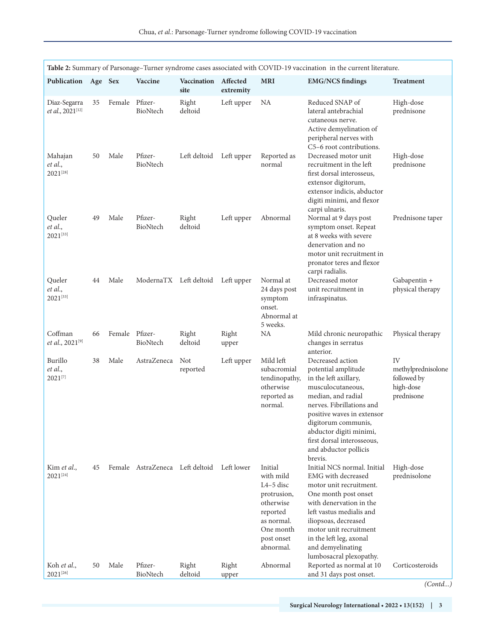| Table 2: Summary of Parsonage-Turner syndrome cases associated with COVID-19 vaccination in the current literature. |    |                |                                            |                                   |                       |                                                                                                                                   |                                                                                                                                                                                                                                                                                            |                                                                    |
|---------------------------------------------------------------------------------------------------------------------|----|----------------|--------------------------------------------|-----------------------------------|-----------------------|-----------------------------------------------------------------------------------------------------------------------------------|--------------------------------------------------------------------------------------------------------------------------------------------------------------------------------------------------------------------------------------------------------------------------------------------|--------------------------------------------------------------------|
| Publication Age Sex                                                                                                 |    |                | Vaccine                                    | Vaccination<br>site               | Affected<br>extremity | <b>MRI</b>                                                                                                                        | <b>EMG/NCS findings</b>                                                                                                                                                                                                                                                                    | <b>Treatment</b>                                                   |
| Diaz-Segarra<br>et al., 2021[12]                                                                                    | 35 | Female         | Pfizer-<br>BioNtech                        | Right<br>deltoid                  | Left upper            | NA                                                                                                                                | Reduced SNAP of<br>lateral antebrachial<br>cutaneous nerve.<br>Active demyelination of<br>peripheral nerves with<br>C5-6 root contributions.                                                                                                                                               | High-dose<br>prednisone                                            |
| Mahajan<br>et al.,<br>2021[28]                                                                                      | 50 | Male           | Pfizer-<br>BioNtech                        | Left deltoid Left upper           |                       | Reported as<br>normal                                                                                                             | Decreased motor unit<br>recruitment in the left<br>first dorsal interosseus,<br>extensor digitorum,<br>extensor indicis, abductor<br>digiti minimi, and flexor<br>carpi ulnaris.                                                                                                           | High-dose<br>prednisone                                            |
| Queler<br>et al.,<br>$2021^{[33]}$                                                                                  | 49 | Male           | Pfizer-<br>BioNtech                        | Right<br>deltoid                  | Left upper            | Abnormal                                                                                                                          | Normal at 9 days post<br>symptom onset. Repeat<br>at 8 weeks with severe<br>denervation and no<br>motor unit recruitment in<br>pronator teres and flexor<br>carpi radialis.                                                                                                                | Prednisone taper                                                   |
| Queler<br>et al.,<br>$2021^{[33]}$                                                                                  | 44 | Male           |                                            | ModernaTX Left deltoid Left upper |                       | Normal at<br>24 days post<br>symptom<br>onset.<br>Abnormal at<br>5 weeks.                                                         | Decreased motor<br>unit recruitment in<br>infraspinatus.                                                                                                                                                                                                                                   | Gabapentin +<br>physical therapy                                   |
| Coffman<br><i>et al.</i> , 2021 <sup>[9]</sup>                                                                      | 66 | Female Pfizer- | BioNtech                                   | Right<br>deltoid                  | Right<br>upper        | NA                                                                                                                                | Mild chronic neuropathic<br>changes in serratus<br>anterior.                                                                                                                                                                                                                               | Physical therapy                                                   |
| Burillo<br>et al.,<br>$2021^{[7]}$                                                                                  | 38 | Male           | AstraZeneca                                | Not<br>reported                   | Left upper            | Mild left<br>subacromial<br>tendinopathy,<br>otherwise<br>reported as<br>normal.                                                  | Decreased action<br>potential amplitude<br>in the left axillary,<br>musculocutaneous,<br>median, and radial<br>nerves. Fibrillations and<br>positive waves in extensor<br>digitorum communis,<br>abductor digiti minimi,<br>first dorsal interosseous,<br>and abductor pollicis<br>brevis. | IV<br>methylprednisolone<br>followed by<br>high-dose<br>prednisone |
| Kim et al.,<br>$2021^{[24]}$                                                                                        | 45 |                | Female AstraZeneca Left deltoid Left lower |                                   |                       | Initial<br>with mild<br>$L4-5$ disc<br>protrusion,<br>otherwise<br>reported<br>as normal.<br>One month<br>post onset<br>abnormal. | Initial NCS normal. Initial<br>EMG with decreased<br>motor unit recruitment.<br>One month post onset<br>with denervation in the<br>left vastus medialis and<br>iliopsoas, decreased<br>motor unit recruitment<br>in the left leg, axonal<br>and demyelinating<br>lumbosacral plexopathy.   | High-dose<br>prednisolone                                          |
| Koh et al.,<br>$2021^{[26]}$                                                                                        | 50 | Male           | Pfizer-<br>BioNtech                        | Right<br>deltoid                  | Right<br>upper        | Abnormal                                                                                                                          | Reported as normal at 10<br>and 31 days post onset.                                                                                                                                                                                                                                        | Corticosteroids                                                    |

*(Contd...)*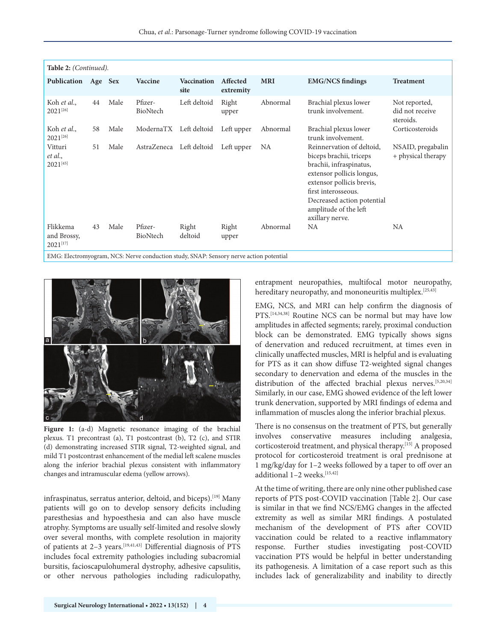| Table 2: (Continued).                                                                  |    |      |                     |                            |                       |            |                                                                                                                                                                                                                                            |                                               |  |  |
|----------------------------------------------------------------------------------------|----|------|---------------------|----------------------------|-----------------------|------------|--------------------------------------------------------------------------------------------------------------------------------------------------------------------------------------------------------------------------------------------|-----------------------------------------------|--|--|
| Publication Age Sex                                                                    |    |      | Vaccine             | <b>Vaccination</b><br>site | Affected<br>extremity | <b>MRI</b> | <b>EMG/NCS findings</b>                                                                                                                                                                                                                    | <b>Treatment</b>                              |  |  |
| Koh et al.,<br>$2021^{[26]}$                                                           | 44 | Male | Pfizer-<br>BioNtech | Left deltoid               | Right<br>upper        | Abnormal   | Brachial plexus lower<br>trunk involvement.                                                                                                                                                                                                | Not reported,<br>did not receive<br>steroids. |  |  |
| Koh et al.,<br>$2021^{[26]}$                                                           | 58 | Male | ModernaTX           | Left deltoid               | Left upper            | Abnormal   | Brachial plexus lower<br>trunk involvement.                                                                                                                                                                                                | Corticosteroids                               |  |  |
| Vitturi<br>et al.,<br>$2021^{[45]}$                                                    | 51 | Male | AstraZeneca         | Left deltoid               | Left upper            | NA         | Reinnervation of deltoid,<br>biceps brachii, triceps<br>brachii, infraspinatus,<br>extensor pollicis longus,<br>extensor pollicis brevis,<br>first interosseous.<br>Decreased action potential<br>amplitude of the left<br>axillary nerve. | NSAID, pregabalin<br>+ physical therapy       |  |  |
| Flikkema<br>and Brossy,<br>$2021^{[17]}$                                               | 43 | Male | Pfizer-<br>BioNtech | Right<br>deltoid           | Right<br>upper        | Abnormal   | <b>NA</b>                                                                                                                                                                                                                                  | NA                                            |  |  |
| EMG: Electromyogram, NCS: Nerve conduction study, SNAP: Sensory nerve action potential |    |      |                     |                            |                       |            |                                                                                                                                                                                                                                            |                                               |  |  |



Figure 1: (a-d) Magnetic resonance imaging of the brachial plexus. T1 precontrast (a), T1 postcontrast (b), T2 (c), and STIR (d) demonstrating increased STIR signal, T2-weighted signal, and mild T1 postcontrast enhancement of the medial left scalene muscles along the inferior brachial plexus consistent with inflammatory changes and intramuscular edema (yellow arrows).

infraspinatus, serratus anterior, deltoid, and biceps).[19] Many patients will go on to develop sensory deficits including paresthesias and hypoesthesia and can also have muscle atrophy. Symptoms are usually self-limited and resolve slowly over several months, with complete resolution in majority of patients at 2–3 years.[19,41,43] Differential diagnosis of PTS includes focal extremity pathologies including subacromial bursitis, facioscapulohumeral dystrophy, adhesive capsulitis, or other nervous pathologies including radiculopathy,

entrapment neuropathies, multifocal motor neuropathy, hereditary neuropathy, and mononeuritis multiplex.<sup>[25,43]</sup>

EMG, NCS, and MRI can help confirm the diagnosis of PTS.<sup>[14,34,38]</sup> Routine NCS can be normal but may have low amplitudes in affected segments; rarely, proximal conduction block can be demonstrated. EMG typically shows signs of denervation and reduced recruitment, at times even in clinically unaffected muscles, MRI is helpful and is evaluating for PTS as it can show diffuse T2-weighted signal changes secondary to denervation and edema of the muscles in the distribution of the affected brachial plexus nerves.[5,20,34] Similarly, in our case, EMG showed evidence of the left lower trunk denervation, supported by MRI findings of edema and inflammation of muscles along the inferior brachial plexus.

There is no consensus on the treatment of PTS, but generally involves conservative measures including analgesia, corticosteroid treatment, and physical therapy.[15] A proposed protocol for corticosteroid treatment is oral prednisone at 1 mg/kg/day for 1–2 weeks followed by a taper to off over an additional 1-2 weeks.<sup>[15,42]</sup>

At the time of writing, there are only nine other published case reports of PTS post-COVID vaccination [Table 2]. Our case is similar in that we find NCS/EMG changes in the affected extremity as well as similar MRI findings. A postulated mechanism of the development of PTS after COVID vaccination could be related to a reactive inflammatory response. Further studies investigating post-COVID vaccination PTS would be helpful in better understanding its pathogenesis. A limitation of a case report such as this includes lack of generalizability and inability to directly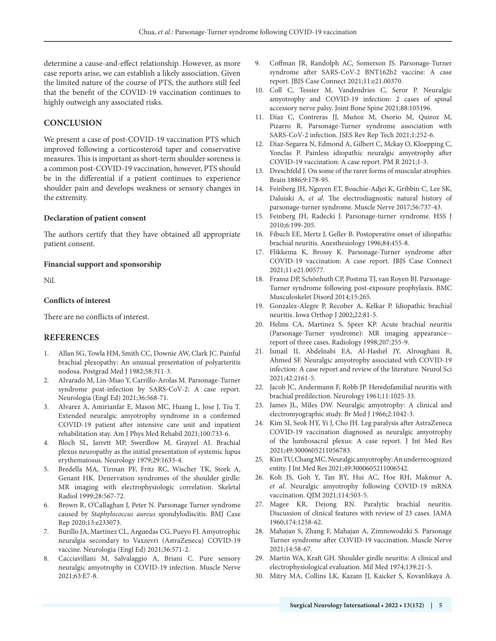determine a cause-and-effect relationship. However, as more case reports arise, we can establish a likely association. Given the limited nature of the course of PTS, the authors still feel that the benefit of the COVID-19 vaccination continues to highly outweigh any associated risks.

### **CONCLUSION**

We present a case of post-COVID-19 vaccination PTS which improved following a corticosteroid taper and conservative measures. This is important as short-term shoulder soreness is a common post-COVID-19 vaccination, however, PTS should be in the differential if a patient continues to experience shoulder pain and develops weakness or sensory changes in the extremity.

#### **Declaration of patient consent**

The authors certify that they have obtained all appropriate patient consent.

#### **Financial support and sponsorship**

Nil.

#### **Conflicts of interest**

There are no conflicts of interest.

#### **REFERENCES**

- 1. Allan SG, Towla HM, Smith CC, Downie AW, Clark JC. Painful brachial plexopathy: An unusual presentation of polyarteritis nodosa. Postgrad Med J 1982;58:311-3.
- 2. Alvarado M, Lin-Miao Y, Carrillo-Arolas M. Parsonage-Turner syndrome post-infection by SARS-CoV-2: A case report. Neurologia (Engl Ed) 2021;36:568-71.
- 3. Alvarez A, Amirianfar E, Mason MC, Huang L, Jose J, Tiu T. Extended neuralgic amyotrophy syndrome in a confirmed COVID-19 patient after intensive care unit and inpatient rehabilitation stay. Am J Phys Med Rehabil 2021;100:733-6.
- 4. Bloch SL, Jarrett MP, Swerdlow M, Grayzel AI. Brachial plexus neuropathy as the initial presentation of systemic lupus erythematosus. Neurology 1979;29:1633-4.
- 5. Bredella MA, Tirman PF, Fritz RC, Wischer TK, Stork A, Genant HK. Denervation syndromes of the shoulder girdle: MR imaging with electrophysiologic correlation. Skeletal Radiol 1999;28:567-72.
- 6. Brown R, O'Callaghan J, Peter N. Parsonage Turner syndrome caused by *Staphylococcus aureus* spondylodiscitis. BMJ Case Rep 2020;13:e233073.
- 7. Burillo JA, Martínez CL, Arguedas CG, Pueyo FJ. Amyotrophic neuralgia secondary to Vaxzevri (AstraZeneca) COVID-19 vaccine. Neurologia (Engl Ed) 2021;36:571-2.
- 8. Cacciavillani M, Salvalaggio A, Briani C. Pure sensory neuralgic amyotrophy in COVID-19 infection. Muscle Nerve 2021;63:E7-8.
- 9. Coffman JR, Randolph AC, Somerson JS. Parsonage-Turner syndrome after SARS-CoV-2 BNT162b2 vaccine: A case report. JBJS Case Connect 2021;11:e21.00370.
- 10. Coll C, Tessier M, Vandendries C, Seror P. Neuralgic amyotrophy and COVID-19 infection: 2 cases of spinal accessory nerve palsy. Joint Bone Spine 2021;88:105196.
- 11. Díaz C, Contreras JJ, Muñoz M, Osorio M, Quiroz M, Pizarro R. Parsonage-Turner syndrome association with SARS-CoV-2 infection. JSES Rev Rep Tech 2021;1:252-6.
- 12. Diaz-Segarra N, Edmond A, Gilbert C, Mckay O, Kloepping C, Yonclas P. Painless idiopathic neuralgic amyotrophy after COVID-19 vaccination: A case report. PM R 2021;1-3.
- 13. Dreschfeld J. On some of the rarer forms of muscular atrophies. Brain 1886;9:178-95.
- 14. Feinberg JH, Nguyen ET, Boachie-Adjei K, Gribbin C, Lee SK, Daluiski A, *et al*. The electrodiagnostic natural history of parsonage-turner syndrome. Muscle Nerve 2017;56:737-43.
- 15. Feinberg JH, Radecki J. Parsonage-turner syndrome. HSS J 2010;6:199-205.
- 16. Fibuch EE, Mertz J, Geller B. Postoperative onset of idiopathic brachial neuritis. Anesthesiology 1996;84:455-8.
- 17. Flikkema K, Brossy K. Parsonage-Turner syndrome after COVID-19 vaccination: A case report. JBJS Case Connect 2021;11:e21.00577.
- 18. Fransz DP, Schönhuth CP, Postma TJ, van Royen BJ. Parsonage-Turner syndrome following post-exposure prophylaxis. BMC Musculoskelet Disord 2014;15:265.
- 19. Gonzalez-Alegre P, Recober A, Kelkar P. Idiopathic brachial neuritis. Iowa Orthop J 2002;22:81-5.
- 20. Helms CA, Martinez S, Speer KP. Acute brachial neuritis (Parsonage-Turner syndrome): MR imaging appearance- report of three cases. Radiology 1998;207:255-9.
- 21. Ismail II, Abdelnabi EA, Al-Hashel JY, Alroughani R, Ahmed SF. Neuralgic amyotrophy associated with COVID-19 infection: A case report and review of the literature. Neurol Sci 2021;42:2161-5.
- 22. Jacob JC, Andermann F, Robb JP. Heredofamilial neuritis with brachial predilection. Neurology 1961;11:1025-33.
- 23. James JL, Miles DW. Neuralgic amyotrophy: A clinical and electromyographic study. Br Med J 1966;2:1042-3.
- 24. Kim SI, Seok HY, Yi J, Cho JH. Leg paralysis after AstraZeneca COVID-19 vaccination diagnosed as neuralgic amyotrophy of the lumbosacral plexus: A case report. J Int Med Res 2021;49:3000605211056783.
- 25. Kim TU, Chang MC. Neuralgic amyotrophy: An underrecognized entity. J Int Med Res 2021;49:3000605211006542.
- 26. Koh JS, Goh Y, Tan BY, Hui AC, Hoe RH, Makmur A, *et al*. Neuralgic amyotrophy following COVID-19 mRNA vaccination. QJM 2021;114:503-5.
- 27. Magee KR, Dejong RN. Paralytic brachial neuritis. Discussion of clinical features with review of 23 cases. JAMA 1960;174:1258-62.
- 28. Mahajan S, Zhang F, Mahajan A, Zimnowodzki S. Parsonage Turner syndrome after COVID-19 vaccination. Muscle Nerve 2021;14:58-67.
- 29. Martin WA, Kraft GH. Shoulder girdle neuritis: A clinical and electrophysiological evaluation. Mil Med 1974;139:21-5.
- 30. Mitry MA, Collins LK, Kazam JJ, Kaicker S, Kovanlikaya A.